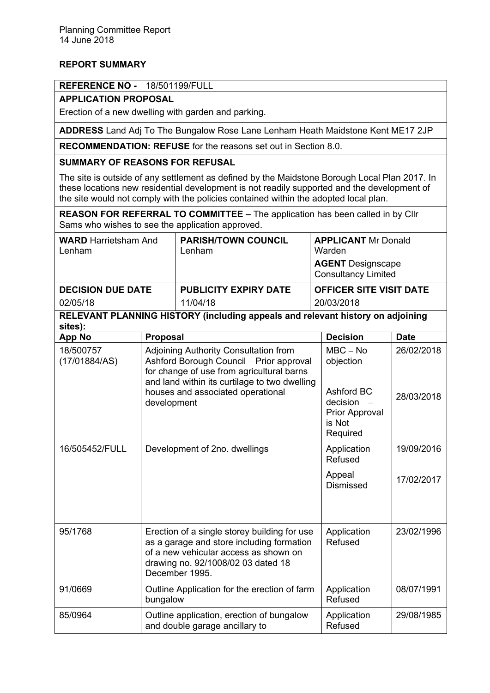# **REPORT SUMMARY**

## **REFERENCE NO -** 18/501199/FULL

## **APPLICATION PROPOSAL**

Erection of a new dwelling with garden and parking.

**ADDRESS** Land Adj To The Bungalow Rose Lane Lenham Heath Maidstone Kent ME17 2JP

**RECOMMENDATION: REFUSE** for the reasons set out in Section 8.0.

## **SUMMARY OF REASONS FOR REFUSAL**

The site is outside of any settlement as defined by the Maidstone Borough Local Plan 2017. In these locations new residential development is not readily supported and the development of the site would not comply with the policies contained within the adopted local plan.

**REASON FOR REFERRAL TO COMMITTEE –** The application has been called in by Cllr Sams who wishes to see the application approved.

| <b>WARD</b> Harrietsham And<br>Lenham | <b>PARISH/TOWN COUNCIL</b><br>Lenham | <b>APPLICANT Mr Donald</b><br>Warden                   |
|---------------------------------------|--------------------------------------|--------------------------------------------------------|
|                                       |                                      | <b>AGENT</b> Designscape<br><b>Consultancy Limited</b> |
| <b>DECISION DUE DATE</b>              | <b>PUBLICITY EXPIRY DATE</b>         | <b>OFFICER SITE VISIT DATE</b>                         |
| 02/05/18                              | 11/04/18                             | 20/03/2018                                             |

# **RELEVANT PLANNING HISTORY (including appeals and relevant history on adjoining sites):**

| <b>App No</b>              | <b>Proposal</b>                                                                                                                                                                                                                     | <b>Decision</b>                                                                           | <b>Date</b>              |
|----------------------------|-------------------------------------------------------------------------------------------------------------------------------------------------------------------------------------------------------------------------------------|-------------------------------------------------------------------------------------------|--------------------------|
| 18/500757<br>(17/01884/AS) | Adjoining Authority Consultation from<br>Ashford Borough Council - Prior approval<br>for change of use from agricultural barns<br>and land within its curtilage to two dwelling<br>houses and associated operational<br>development | $MBC - No$<br>objection<br>Ashford BC<br>decision<br>Prior Approval<br>is Not<br>Required | 26/02/2018<br>28/03/2018 |
| 16/505452/FULL             | Development of 2no. dwellings                                                                                                                                                                                                       | Application<br>Refused                                                                    | 19/09/2016               |
|                            |                                                                                                                                                                                                                                     | Appeal<br><b>Dismissed</b>                                                                | 17/02/2017               |
| 95/1768                    | Erection of a single storey building for use<br>as a garage and store including formation<br>of a new vehicular access as shown on<br>drawing no. 92/1008/02 03 dated 18<br>December 1995.                                          | Application<br>Refused                                                                    | 23/02/1996               |
| 91/0669                    | Outline Application for the erection of farm<br>bungalow                                                                                                                                                                            | Application<br>Refused                                                                    | 08/07/1991               |
| 85/0964                    | Outline application, erection of bungalow<br>and double garage ancillary to                                                                                                                                                         | Application<br>Refused                                                                    | 29/08/1985               |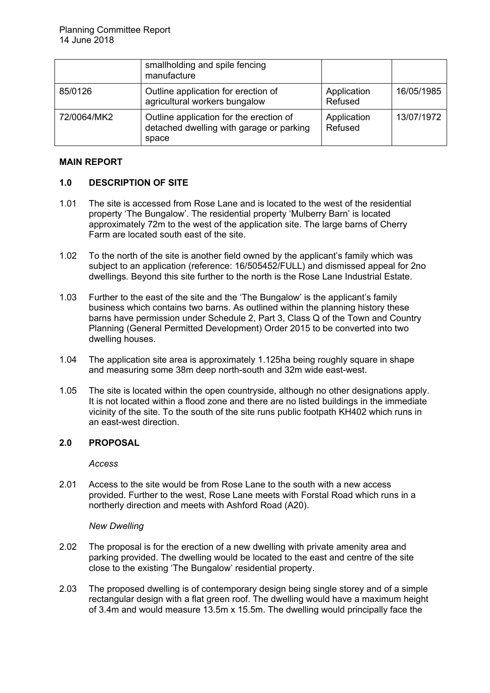|             | smallholding and spile fencing<br>manufacture                                                |                        |            |
|-------------|----------------------------------------------------------------------------------------------|------------------------|------------|
| 85/0126     | Outline application for erection of<br>agricultural workers bungalow                         | Application<br>Refused | 16/05/1985 |
| 72/0064/MK2 | Outline application for the erection of<br>detached dwelling with garage or parking<br>space | Application<br>Refused | 13/07/1972 |

## **MAIN REPORT**

# **1.0 DESCRIPTION OF SITE**

- 1.01 The site is accessed from Rose Lane and is located to the west of the residential property 'The Bungalow'. The residential property 'Mulberry Barn' is located approximately 72m to the west of the application site. The large barns of Cherry Farm are located south east of the site.
- 1.02 To the north of the site is another field owned by the applicant's family which was subject to an application (reference: 16/505452/FULL) and dismissed appeal for 2no dwellings. Beyond this site further to the north is the Rose Lane Industrial Estate.
- 1.03 Further to the east of the site and the 'The Bungalow' is the applicant's family business which contains two barns. As outlined within the planning history these barns have permission under Schedule 2, Part 3, Class Q of the Town and Country Planning (General Permitted Development) Order 2015 to be converted into two dwelling houses.
- 1.04 The application site area is approximately 1.125ha being roughly square in shape and measuring some 38m deep north-south and 32m wide east-west.
- 1.05 The site is located within the open countryside, although no other designations apply. It is not located within a flood zone and there are no listed buildings in the immediate vicinity of the site. To the south of the site runs public footpath KH402 which runs in an east-west direction.

### **2.0 PROPOSAL**

*Access*

2.01 Access to the site would be from Rose Lane to the south with a new access provided. Further to the west, Rose Lane meets with Forstal Road which runs in a northerly direction and meets with Ashford Road (A20).

#### *New Dwelling*

- 2.02 The proposal is for the erection of a new dwelling with private amenity area and parking provided. The dwelling would be located to the east and centre of the site close to the existing 'The Bungalow' residential property.
- 2.03 The proposed dwelling is of contemporary design being single storey and of a simple rectangular design with a flat green roof. The dwelling would have a maximum height of 3.4m and would measure 13.5m x 15.5m. The dwelling would principally face the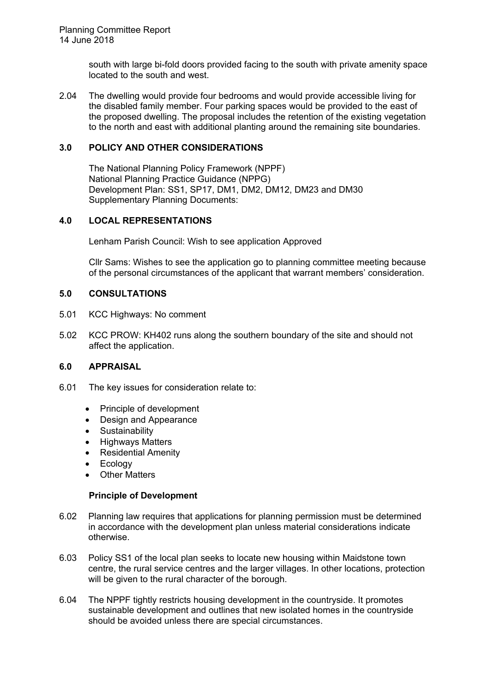south with large bi-fold doors provided facing to the south with private amenity space located to the south and west.

2.04 The dwelling would provide four bedrooms and would provide accessible living for the disabled family member. Four parking spaces would be provided to the east of the proposed dwelling. The proposal includes the retention of the existing vegetation to the north and east with additional planting around the remaining site boundaries.

## **3.0 POLICY AND OTHER CONSIDERATIONS**

The National Planning Policy Framework (NPPF) National Planning Practice Guidance (NPPG) Development Plan: SS1, SP17, DM1, DM2, DM12, DM23 and DM30 Supplementary Planning Documents:

## **4.0 LOCAL REPRESENTATIONS**

Lenham Parish Council: Wish to see application Approved

Cllr Sams: Wishes to see the application go to planning committee meeting because of the personal circumstances of the applicant that warrant members' consideration.

### **5.0 CONSULTATIONS**

- 5.01 KCC Highways: No comment
- 5.02 KCC PROW: KH402 runs along the southern boundary of the site and should not affect the application.

### **6.0 APPRAISAL**

- 6.01 The key issues for consideration relate to:
	- Principle of development
	- Design and Appearance
	- Sustainability
	- Highways Matters
	- Residential Amenity
	- Ecology
	- Other Matters

### **Principle of Development**

- 6.02 Planning law requires that applications for planning permission must be determined in accordance with the development plan unless material considerations indicate otherwise.
- 6.03 Policy SS1 of the local plan seeks to locate new housing within Maidstone town centre, the rural service centres and the larger villages. In other locations, protection will be given to the rural character of the borough.
- 6.04 The NPPF tightly restricts housing development in the countryside. It promotes sustainable development and outlines that new isolated homes in the countryside should be avoided unless there are special circumstances.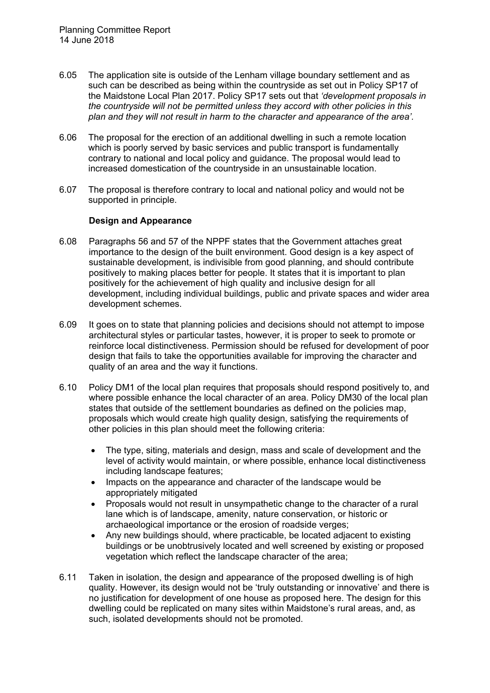- 6.05 The application site is outside of the Lenham village boundary settlement and as such can be described as being within the countryside as set out in Policy SP17 of the Maidstone Local Plan 2017. Policy SP17 sets out that *'development proposals in the countryside will not be permitted unless they accord with other policies in this plan and they will not result in harm to the character and appearance of the area'.*
- 6.06 The proposal for the erection of an additional dwelling in such a remote location which is poorly served by basic services and public transport is fundamentally contrary to national and local policy and guidance. The proposal would lead to increased domestication of the countryside in an unsustainable location.
- 6.07 The proposal is therefore contrary to local and national policy and would not be supported in principle.

### **Design and Appearance**

- 6.08 Paragraphs 56 and 57 of the NPPF states that the Government attaches great importance to the design of the built environment. Good design is a key aspect of sustainable development, is indivisible from good planning, and should contribute positively to making places better for people. It states that it is important to plan positively for the achievement of high quality and inclusive design for all development, including individual buildings, public and private spaces and wider area development schemes.
- 6.09 It goes on to state that planning policies and decisions should not attempt to impose architectural styles or particular tastes, however, it is proper to seek to promote or reinforce local distinctiveness. Permission should be refused for development of poor design that fails to take the opportunities available for improving the character and quality of an area and the way it functions.
- 6.10 Policy DM1 of the local plan requires that proposals should respond positively to, and where possible enhance the local character of an area. Policy DM30 of the local plan states that outside of the settlement boundaries as defined on the policies map, proposals which would create high quality design, satisfying the requirements of other policies in this plan should meet the following criteria:
	- The type, siting, materials and design, mass and scale of development and the level of activity would maintain, or where possible, enhance local distinctiveness including landscape features;
	- Impacts on the appearance and character of the landscape would be appropriately mitigated
	- Proposals would not result in unsympathetic change to the character of a rural lane which is of landscape, amenity, nature conservation, or historic or archaeological importance or the erosion of roadside verges;
	- Any new buildings should, where practicable, be located adjacent to existing buildings or be unobtrusively located and well screened by existing or proposed vegetation which reflect the landscape character of the area;
- 6.11 Taken in isolation, the design and appearance of the proposed dwelling is of high quality. However, its design would not be 'truly outstanding or innovative' and there is no justification for development of one house as proposed here. The design for this dwelling could be replicated on many sites within Maidstone's rural areas, and, as such, isolated developments should not be promoted.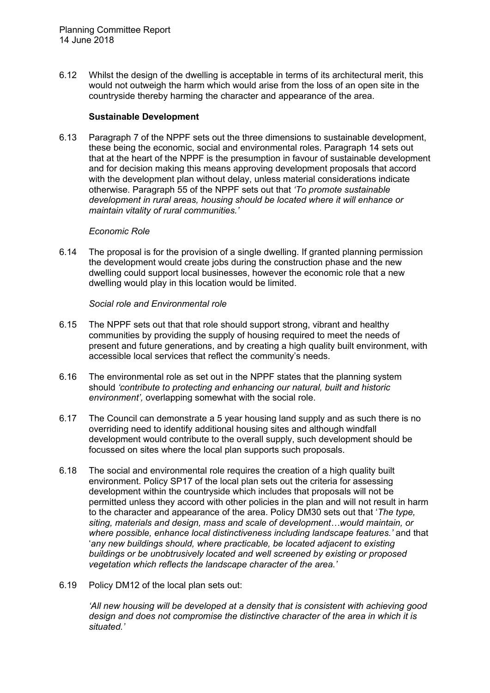6.12 Whilst the design of the dwelling is acceptable in terms of its architectural merit, this would not outweigh the harm which would arise from the loss of an open site in the countryside thereby harming the character and appearance of the area.

#### **Sustainable Development**

6.13 Paragraph 7 of the NPPF sets out the three dimensions to sustainable development, these being the economic, social and environmental roles. Paragraph 14 sets out that at the heart of the NPPF is the presumption in favour of sustainable development and for decision making this means approving development proposals that accord with the development plan without delay, unless material considerations indicate otherwise. Paragraph 55 of the NPPF sets out that *'To promote sustainable development in rural areas, housing should be located where it will enhance or maintain vitality of rural communities.'*

#### *Economic Role*

6.14 The proposal is for the provision of a single dwelling. If granted planning permission the development would create jobs during the construction phase and the new dwelling could support local businesses, however the economic role that a new dwelling would play in this location would be limited.

### *Social role and Environmental role*

- 6.15 The NPPF sets out that that role should support strong, vibrant and healthy communities by providing the supply of housing required to meet the needs of present and future generations, and by creating a high quality built environment, with accessible local services that reflect the community's needs.
- 6.16 The environmental role as set out in the NPPF states that the planning system should *'contribute to protecting and enhancing our natural, built and historic environment',* overlapping somewhat with the social role.
- 6.17 The Council can demonstrate a 5 year housing land supply and as such there is no overriding need to identify additional housing sites and although windfall development would contribute to the overall supply, such development should be focussed on sites where the local plan supports such proposals.
- 6.18 The social and environmental role requires the creation of a high quality built environment. Policy SP17 of the local plan sets out the criteria for assessing development within the countryside which includes that proposals will not be permitted unless they accord with other policies in the plan and will not result in harm to the character and appearance of the area. Policy DM30 sets out that '*The type, siting, materials and design, mass and scale of development…would maintain, or where possible, enhance local distinctiveness including landscape features.'* and that '*any new buildings should, where practicable, be located adjacent to existing buildings or be unobtrusively located and well screened by existing or proposed vegetation which reflects the landscape character of the area.'*
- 6.19 Policy DM12 of the local plan sets out:

*'All new housing will be developed at a density that is consistent with achieving good design and does not compromise the distinctive character of the area in which it is situated.'*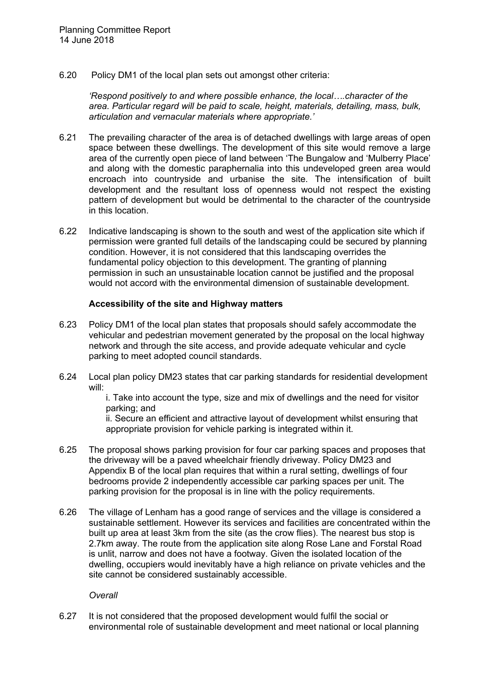6.20 Policy DM1 of the local plan sets out amongst other criteria:

*'Respond positively to and where possible enhance, the local….character of the area. Particular regard will be paid to scale, height, materials, detailing, mass, bulk, articulation and vernacular materials where appropriate.'*

- 6.21 The prevailing character of the area is of detached dwellings with large areas of open space between these dwellings. The development of this site would remove a large area of the currently open piece of land between 'The Bungalow and 'Mulberry Place' and along with the domestic paraphernalia into this undeveloped green area would encroach into countryside and urbanise the site. The intensification of built development and the resultant loss of openness would not respect the existing pattern of development but would be detrimental to the character of the countryside in this location.
- 6.22 Indicative landscaping is shown to the south and west of the application site which if permission were granted full details of the landscaping could be secured by planning condition. However, it is not considered that this landscaping overrides the fundamental policy objection to this development. The granting of planning permission in such an unsustainable location cannot be justified and the proposal would not accord with the environmental dimension of sustainable development.

### **Accessibility of the site and Highway matters**

- 6.23 Policy DM1 of the local plan states that proposals should safely accommodate the vehicular and pedestrian movement generated by the proposal on the local highway network and through the site access, and provide adequate vehicular and cycle parking to meet adopted council standards.
- 6.24 Local plan policy DM23 states that car parking standards for residential development will:

i. Take into account the type, size and mix of dwellings and the need for visitor parking; and

ii. Secure an efficient and attractive layout of development whilst ensuring that appropriate provision for vehicle parking is integrated within it.

- 6.25 The proposal shows parking provision for four car parking spaces and proposes that the driveway will be a paved wheelchair friendly driveway. Policy DM23 and Appendix B of the local plan requires that within a rural setting, dwellings of four bedrooms provide 2 independently accessible car parking spaces per unit. The parking provision for the proposal is in line with the policy requirements.
- 6.26 The village of Lenham has a good range of services and the village is considered a sustainable settlement. However its services and facilities are concentrated within the built up area at least 3km from the site (as the crow flies). The nearest bus stop is 2.7km away. The route from the application site along Rose Lane and Forstal Road is unlit, narrow and does not have a footway. Given the isolated location of the dwelling, occupiers would inevitably have a high reliance on private vehicles and the site cannot be considered sustainably accessible.

*Overall*

6.27 It is not considered that the proposed development would fulfil the social or environmental role of sustainable development and meet national or local planning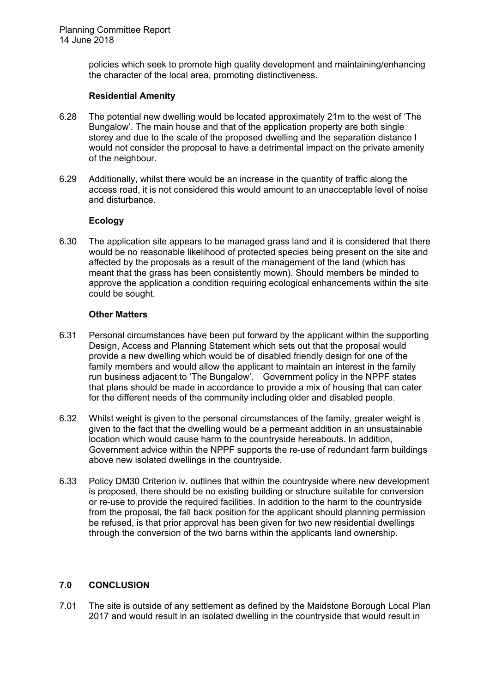policies which seek to promote high quality development and maintaining/enhancing the character of the local area, promoting distinctiveness.

### **Residential Amenity**

- 6.28 The potential new dwelling would be located approximately 21m to the west of 'The Bungalow'. The main house and that of the application property are both single storey and due to the scale of the proposed dwelling and the separation distance I would not consider the proposal to have a detrimental impact on the private amenity of the neighbour.
- 6.29 Additionally, whilst there would be an increase in the quantity of traffic along the access road, it is not considered this would amount to an unacceptable level of noise and disturbance.

## **Ecology**

6.30 The application site appears to be managed grass land and it is considered that there would be no reasonable likelihood of protected species being present on the site and affected by the proposals as a result of the management of the land (which has meant that the grass has been consistently mown). Should members be minded to approve the application a condition requiring ecological enhancements within the site could be sought.

### **Other Matters**

- 6.31 Personal circumstances have been put forward by the applicant within the supporting Design, Access and Planning Statement which sets out that the proposal would provide a new dwelling which would be of disabled friendly design for one of the family members and would allow the applicant to maintain an interest in the family run business adjacent to 'The Bungalow'. Government policy in the NPPF states that plans should be made in accordance to provide a mix of housing that can cater for the different needs of the community including older and disabled people.
- 6.32 Whilst weight is given to the personal circumstances of the family, greater weight is given to the fact that the dwelling would be a permeant addition in an unsustainable location which would cause harm to the countryside hereabouts. In addition, Government advice within the NPPF supports the re-use of redundant farm buildings above new isolated dwellings in the countryside.
- 6.33 Policy DM30 Criterion iv. outlines that within the countryside where new development is proposed, there should be no existing building or structure suitable for conversion or re-use to provide the required facilities. In addition to the harm to the countryside from the proposal, the fall back position for the applicant should planning permission be refused, is that prior approval has been given for two new residential dwellings through the conversion of the two barns within the applicants land ownership.

# **7.0 CONCLUSION**

7.01 The site is outside of any settlement as defined by the Maidstone Borough Local Plan 2017 and would result in an isolated dwelling in the countryside that would result in